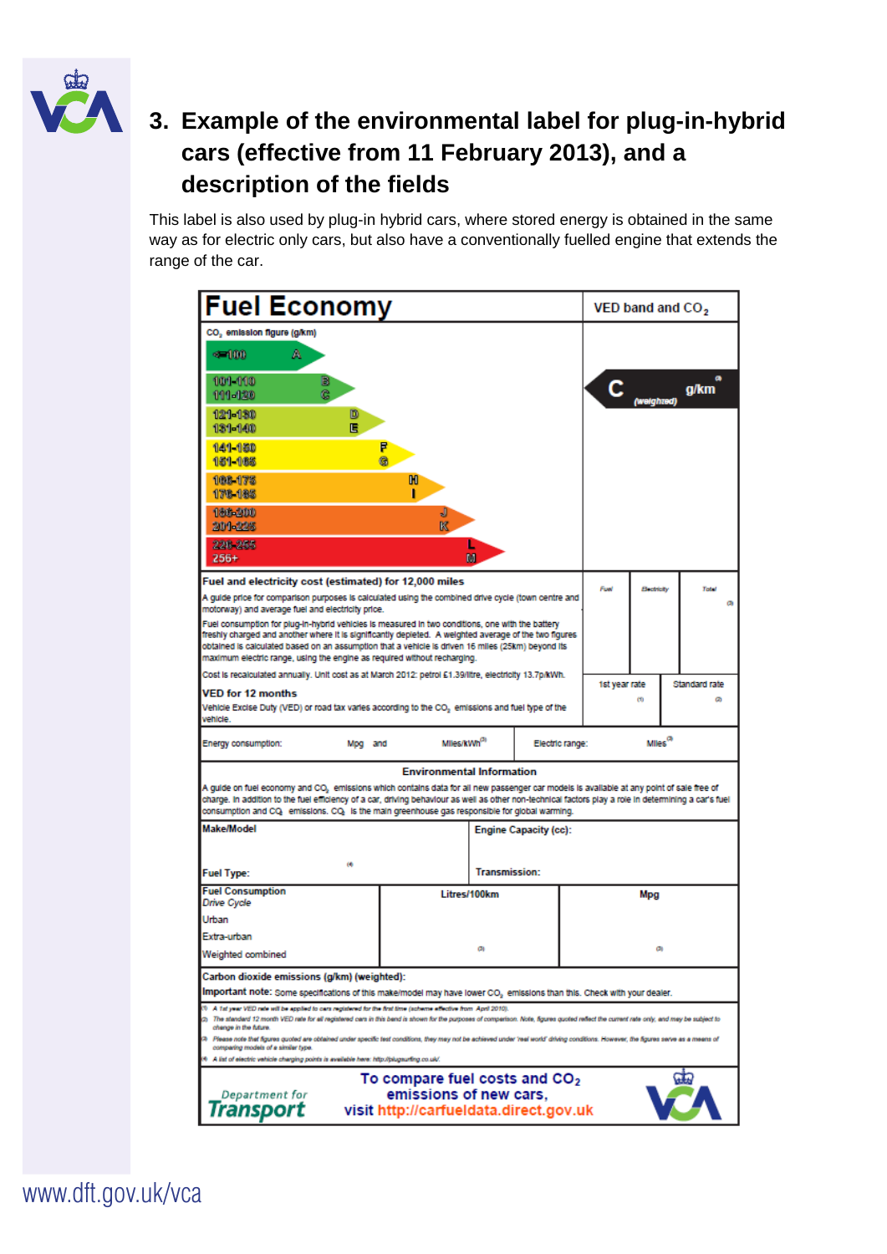

## **3. Example of the environmental label for plug-in-hybrid cars (effective from 11 February 2013), and a description of the fields**

This label is also used by plug-in hybrid cars, where stored energy is obtained in the same way as for electric only cars, but also have a conventionally fuelled engine that extends the range of the car.

| <b>Fuel Economy</b>                                                                                                                                                                                                                                                                                                                                                                                                                                     |                              |                      |  | VED band and CO <sub>2</sub>  |               |               |  |  |
|---------------------------------------------------------------------------------------------------------------------------------------------------------------------------------------------------------------------------------------------------------------------------------------------------------------------------------------------------------------------------------------------------------------------------------------------------------|------------------------------|----------------------|--|-------------------------------|---------------|---------------|--|--|
| CO <sub>2</sub> emission figure (g/km)                                                                                                                                                                                                                                                                                                                                                                                                                  |                              |                      |  |                               |               |               |  |  |
| $-100$<br>А                                                                                                                                                                                                                                                                                                                                                                                                                                             |                              |                      |  |                               |               |               |  |  |
| 101-110<br>в<br>ē<br>111-120                                                                                                                                                                                                                                                                                                                                                                                                                            |                              |                      |  |                               | weighted)     | g/km          |  |  |
| 121-130<br>D<br>鳫<br>131-140                                                                                                                                                                                                                                                                                                                                                                                                                            |                              |                      |  |                               |               |               |  |  |
| 141-150<br>151-165                                                                                                                                                                                                                                                                                                                                                                                                                                      |                              |                      |  |                               |               |               |  |  |
| 108-175<br>M<br>178-185                                                                                                                                                                                                                                                                                                                                                                                                                                 |                              |                      |  |                               |               |               |  |  |
| 186-200<br>J<br>K<br>201-225                                                                                                                                                                                                                                                                                                                                                                                                                            |                              |                      |  |                               |               |               |  |  |
| 226 255<br>$256+$                                                                                                                                                                                                                                                                                                                                                                                                                                       | M                            |                      |  |                               |               |               |  |  |
| Fuel and electricity cost (estimated) for 12,000 miles                                                                                                                                                                                                                                                                                                                                                                                                  |                              |                      |  | Fuel                          | Beatricity    | Total         |  |  |
| A guide price for comparison purposes is calculated using the combined drive cycle (town centre and<br>motorway) and average fuel and electricity price.                                                                                                                                                                                                                                                                                                |                              |                      |  |                               |               |               |  |  |
| Fuel consumption for plug-in-hybrid vehicles is measured in two conditions, one with the battery<br>freshly charged and another where it is significantly depleted. A weighted average of the two figures                                                                                                                                                                                                                                               |                              |                      |  |                               |               |               |  |  |
| obtained is calculated based on an assumption that a vehicle is driven 16 miles (25km) beyond its<br>maximum electric range, using the engine as reguired without recharging.                                                                                                                                                                                                                                                                           |                              |                      |  |                               |               |               |  |  |
| Cost is recalculated annually. Unit cost as at March 2012: petrol £1.39/litre, electricity 13.7p/kWh.                                                                                                                                                                                                                                                                                                                                                   |                              |                      |  |                               | 1st year rate | Standard rate |  |  |
| VED for 12 months<br>Vehicle Excise Duty (VED) or road tax varies according to the CO, emissions and fuel type of the                                                                                                                                                                                                                                                                                                                                   |                              |                      |  |                               | co            | ø             |  |  |
| vehicle.<br>Miles/kWh <sup>(3)</sup><br>Energy consumption:<br>Electric range:<br>Mpg and                                                                                                                                                                                                                                                                                                                                                               |                              |                      |  | $\mathsf{Miles}^\mathsf{(0)}$ |               |               |  |  |
| <b>Environmental Information</b>                                                                                                                                                                                                                                                                                                                                                                                                                        |                              |                      |  |                               |               |               |  |  |
| A guide on fuel economy and CO, emissions which contains data for all new passenger car models is available at any point of sale free of<br>charge. In addition to the fuel efficiency of a car, driving behaviour as well as other non-technical factors play a role in determining a car's fuel<br>consumption and CQ, emissions. CQ, is the main greenhouse gas responsible for global warming.                                                      |                              |                      |  |                               |               |               |  |  |
| Make/Model                                                                                                                                                                                                                                                                                                                                                                                                                                              | <b>Engine Capacity (cc):</b> |                      |  |                               |               |               |  |  |
| ω                                                                                                                                                                                                                                                                                                                                                                                                                                                       |                              |                      |  |                               |               |               |  |  |
| <b>Fuel Type:</b>                                                                                                                                                                                                                                                                                                                                                                                                                                       |                              | <b>Transmission:</b> |  |                               |               |               |  |  |
| <b>Fuel Consumption</b><br>Drive Cycle                                                                                                                                                                                                                                                                                                                                                                                                                  | Litres/100km                 |                      |  |                               | Mpg           |               |  |  |
| Urban                                                                                                                                                                                                                                                                                                                                                                                                                                                   |                              |                      |  |                               |               |               |  |  |
| Extra-urban                                                                                                                                                                                                                                                                                                                                                                                                                                             | Ø)                           |                      |  |                               | ø             |               |  |  |
| Weighted combined                                                                                                                                                                                                                                                                                                                                                                                                                                       |                              |                      |  |                               |               |               |  |  |
| Carbon dioxide emissions (g/km) (weighted):                                                                                                                                                                                                                                                                                                                                                                                                             |                              |                      |  |                               |               |               |  |  |
| ${\sf Important note}$ : Some specifications of this make/model may have lower CO $_{2}$ emissions than this. Check with your dealer.<br>10 A 1st year VED rate will be applied to cars registered for the first time (scheme effective from April 2010).<br>(2) The standard 12 month VED rate for all registered cars in this band is shown for the purposes of comparison. Note, figures quoted reflect the current rate only, and may be subject to |                              |                      |  |                               |               |               |  |  |
| change in the future.<br>œ<br>Please note that figures quoted are obtained under specific test conditions, they may not be achieved under 'real world' driving conditions. However, the figures serve as a means of<br>comparing models of a similar type.                                                                                                                                                                                              |                              |                      |  |                               |               |               |  |  |
| 4 A list of electric vehicle charging points is available here: http://plugsurfing.co.uk/.                                                                                                                                                                                                                                                                                                                                                              |                              |                      |  |                               |               |               |  |  |
| To compare fuel costs and CO <sub>2</sub><br>akt<br>emissions of new cars,<br>Department for<br>Transport<br>visit http://carfueldata.direct.gov.uk                                                                                                                                                                                                                                                                                                     |                              |                      |  |                               |               |               |  |  |

www.dft.gov.uk/vca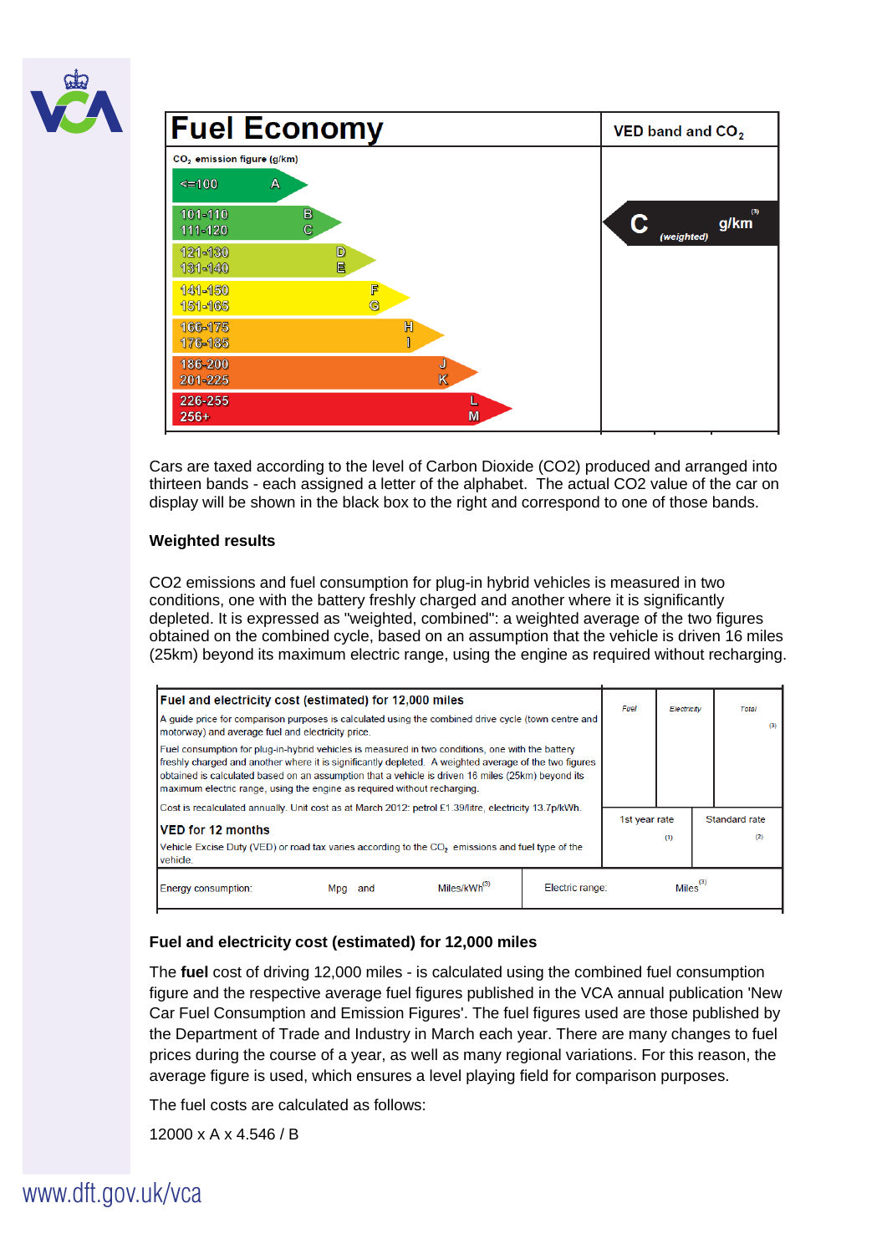



Cars are taxed according to the level of Carbon Dioxide (CO2) produced and arranged into thirteen bands - each assigned a letter of the alphabet. The actual CO2 value of the car on display will be shown in the black box to the right and correspond to one of those bands.

## **Weighted results**

CO2 emissions and fuel consumption for plug-in hybrid vehicles is measured in two conditions, one with the battery freshly charged and another where it is significantly depleted. It is expressed as "weighted, combined": a weighted average of the two figures obtained on the combined cycle, based on an assumption that the vehicle is driven 16 miles (25km) beyond its maximum electric range, using the engine as required without recharging.

| Fuel and electricity cost (estimated) for 12,000 miles                                                                                                                                                                                                                                                                                                                                     | Fuel          | Electricity |  | Total                |  |
|--------------------------------------------------------------------------------------------------------------------------------------------------------------------------------------------------------------------------------------------------------------------------------------------------------------------------------------------------------------------------------------------|---------------|-------------|--|----------------------|--|
| A quide price for comparison purposes is calculated using the combined drive cycle (town centre and<br>motorway) and average fuel and electricity price.                                                                                                                                                                                                                                   |               |             |  | (3)                  |  |
| Fuel consumption for plug-in-hybrid vehicles is measured in two conditions, one with the battery<br>freshly charged and another where it is significantly depleted. A weighted average of the two figures<br>obtained is calculated based on an assumption that a vehicle is driven 16 miles (25km) beyond its<br>maximum electric range, using the engine as required without recharging. |               |             |  |                      |  |
| Cost is recalculated annually. Unit cost as at March 2012: petrol £1.39/litre, electricity 13.7p/kWh.                                                                                                                                                                                                                                                                                      |               |             |  |                      |  |
| <b>VED for 12 months</b>                                                                                                                                                                                                                                                                                                                                                                   | 1st year rate |             |  | Standard rate<br>(2) |  |
| (1)<br>Vehicle Excise Duty (VED) or road tax varies according to the CO <sub>2</sub> emissions and fuel type of the<br>vehicle.                                                                                                                                                                                                                                                            |               |             |  |                      |  |
| Miles/kWh <sup>(3)</sup><br>Electric range:<br>Energy consumption:<br>and<br>Mpg                                                                                                                                                                                                                                                                                                           | $Miles^{(3)}$ |             |  |                      |  |

## **Fuel and electricity cost (estimated) for 12,000 miles**

The **fuel** cost of driving 12,000 miles - is calculated using the combined fuel consumption figure and the respective average fuel figures published in the VCA annual publication 'New Car Fuel Consumption and Emission Figures'. The fuel figures used are those published by the Department of Trade and Industry in March each year. There are many changes to fuel prices during the course of a year, as well as many regional variations. For this reason, the average figure is used, which ensures a level playing field for comparison purposes.

The fuel costs are calculated as follows:

12000 x A x 4.546 / B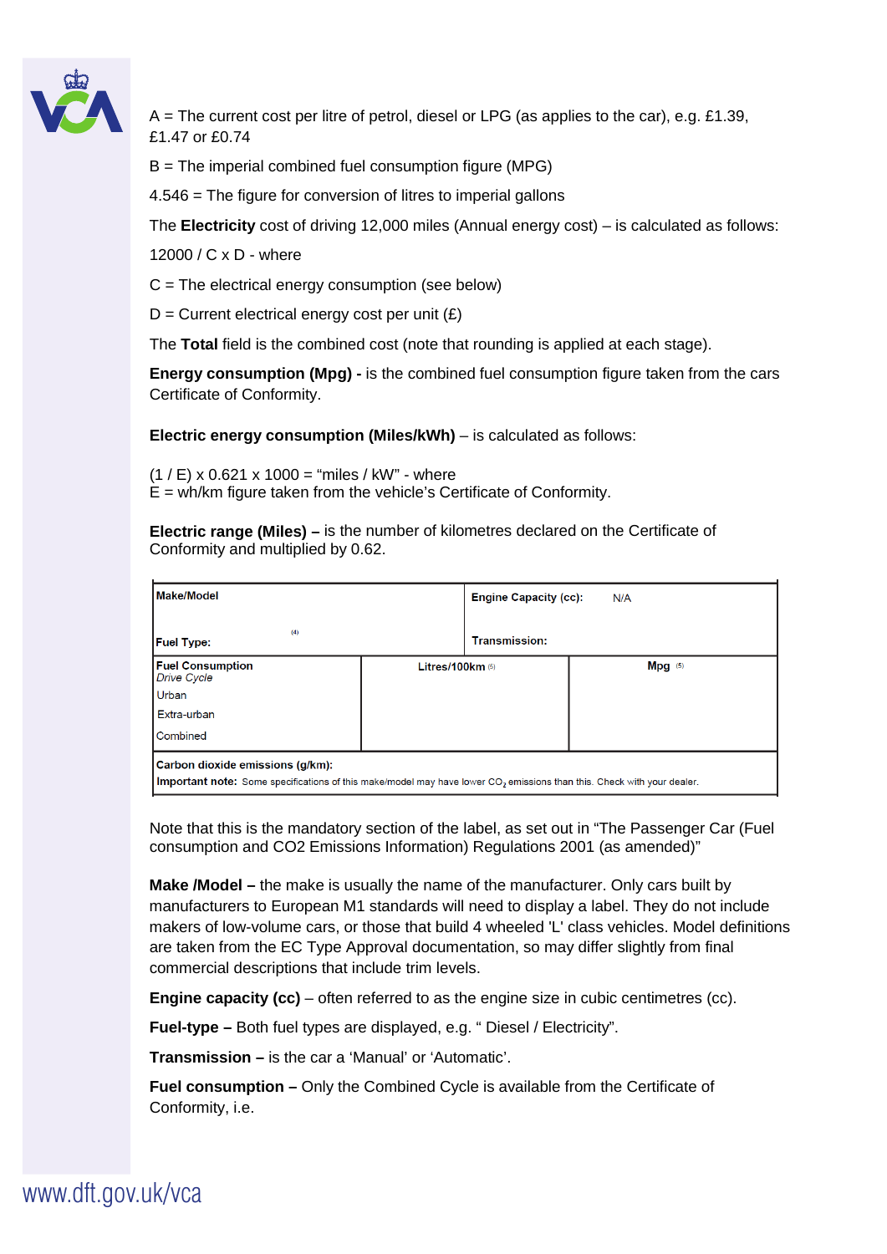

 $A =$ The current cost per litre of petrol, diesel or LPG (as applies to the car), e.g. £1.39, £1.47 or £0.74

 $B =$ The imperial combined fuel consumption figure (MPG)

4.546 = The figure for conversion of litres to imperial gallons

The **Electricity** cost of driving 12,000 miles (Annual energy cost) – is calculated as follows:

12000 / C x D - where

 $C =$  The electrical energy consumption (see below)

 $D =$  Current electrical energy cost per unit  $(E)$ 

The **Total** field is the combined cost (note that rounding is applied at each stage).

**Energy consumption (Mpg) -** is the combined fuel consumption figure taken from the cars Certificate of Conformity.

**Electric energy consumption (Miles/kWh)** – is calculated as follows:

 $(1 / E)$  x 0.621 x 1000 = "miles / kW" - where  $E = wh/km$  figure taken from the vehicle's Certificate of Conformity.

**Electric range (Miles) –** is the number of kilometres declared on the Certificate of Conformity and multiplied by 0.62.

| Make/Model                                                                                                                                                             |                    | <b>Engine Capacity (cc):</b><br>N/A |           |  |  |  |
|------------------------------------------------------------------------------------------------------------------------------------------------------------------------|--------------------|-------------------------------------|-----------|--|--|--|
| (4)<br><b>Fuel Type:</b>                                                                                                                                               |                    | <b>Transmission:</b>                |           |  |  |  |
| <b>Fuel Consumption</b><br><b>Drive Cycle</b>                                                                                                                          | Litres/100 $km(5)$ |                                     | $Mpq$ (5) |  |  |  |
| Urban                                                                                                                                                                  |                    |                                     |           |  |  |  |
| Extra-urban                                                                                                                                                            |                    |                                     |           |  |  |  |
| Combined                                                                                                                                                               |                    |                                     |           |  |  |  |
| Carbon dioxide emissions (q/km):<br>Important note: Some specifications of this make/model may have lower CO <sub>2</sub> emissions than this. Check with your dealer. |                    |                                     |           |  |  |  |

Note that this is the mandatory section of the label, as set out in "The Passenger Car (Fuel

consumption and CO2 Emissions Information) Regulations 2001 (as amended)"

**Make /Model –** the make is usually the name of the manufacturer. Only cars built by manufacturers to European M1 standards will need to display a label. They do not include makers of low-volume cars, or those that build 4 wheeled 'L' class vehicles. Model definitions are taken from the EC Type Approval documentation, so may differ slightly from final commercial descriptions that include trim levels.

**Engine capacity (cc)** – often referred to as the engine size in cubic centimetres (cc).

**Fuel-type –** Both fuel types are displayed, e.g. " Diesel / Electricity".

**Transmission –** is the car a 'Manual' or 'Automatic'.

**Fuel consumption –** Only the Combined Cycle is available from the Certificate of Conformity, i.e.